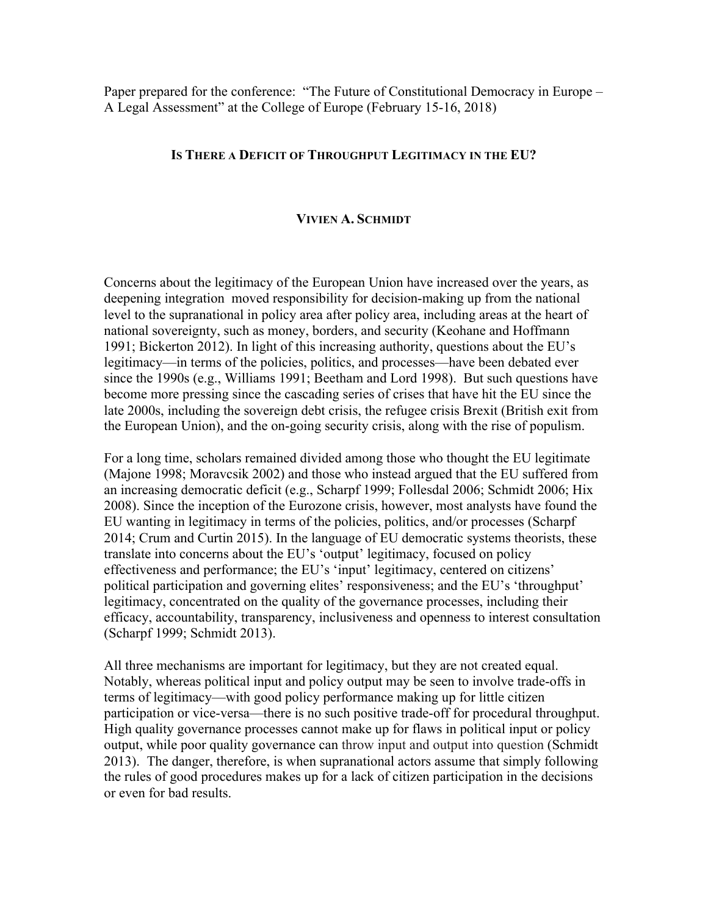Paper prepared for the conference: "The Future of Constitutional Democracy in Europe – A Legal Assessment" at the College of Europe (February 15-16, 2018)

# **IS THERE A DEFICIT OF THROUGHPUT LEGITIMACY IN THE EU?**

## **VIVIEN A. SCHMIDT**

Concerns about the legitimacy of the European Union have increased over the years, as deepening integration moved responsibility for decision-making up from the national level to the supranational in policy area after policy area, including areas at the heart of national sovereignty, such as money, borders, and security (Keohane and Hoffmann 1991; Bickerton 2012). In light of this increasing authority, questions about the EU's legitimacy—in terms of the policies, politics, and processes—have been debated ever since the 1990s (e.g., Williams 1991; Beetham and Lord 1998). But such questions have become more pressing since the cascading series of crises that have hit the EU since the late 2000s, including the sovereign debt crisis, the refugee crisis Brexit (British exit from the European Union), and the on-going security crisis, along with the rise of populism.

For a long time, scholars remained divided among those who thought the EU legitimate (Majone 1998; Moravcsik 2002) and those who instead argued that the EU suffered from an increasing democratic deficit (e.g., Scharpf 1999; Follesdal 2006; Schmidt 2006; Hix 2008). Since the inception of the Eurozone crisis, however, most analysts have found the EU wanting in legitimacy in terms of the policies, politics, and/or processes (Scharpf 2014; Crum and Curtin 2015). In the language of EU democratic systems theorists, these translate into concerns about the EU's 'output' legitimacy, focused on policy effectiveness and performance; the EU's 'input' legitimacy, centered on citizens' political participation and governing elites' responsiveness; and the EU's 'throughput' legitimacy, concentrated on the quality of the governance processes, including their efficacy, accountability, transparency, inclusiveness and openness to interest consultation (Scharpf 1999; Schmidt 2013).

All three mechanisms are important for legitimacy, but they are not created equal. Notably, whereas political input and policy output may be seen to involve trade-offs in terms of legitimacy—with good policy performance making up for little citizen participation or vice-versa—there is no such positive trade-off for procedural throughput. High quality governance processes cannot make up for flaws in political input or policy output, while poor quality governance can throw input and output into question (Schmidt 2013). The danger, therefore, is when supranational actors assume that simply following the rules of good procedures makes up for a lack of citizen participation in the decisions or even for bad results.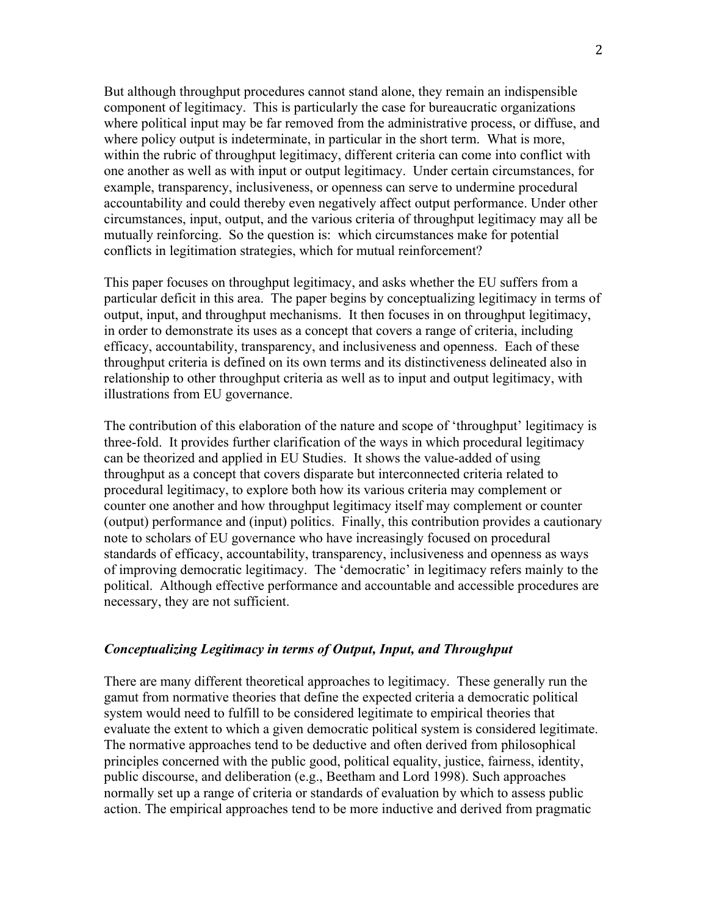But although throughput procedures cannot stand alone, they remain an indispensible component of legitimacy. This is particularly the case for bureaucratic organizations where political input may be far removed from the administrative process, or diffuse, and where policy output is indeterminate, in particular in the short term. What is more, within the rubric of throughput legitimacy, different criteria can come into conflict with one another as well as with input or output legitimacy. Under certain circumstances, for example, transparency, inclusiveness, or openness can serve to undermine procedural accountability and could thereby even negatively affect output performance. Under other circumstances, input, output, and the various criteria of throughput legitimacy may all be mutually reinforcing. So the question is: which circumstances make for potential conflicts in legitimation strategies, which for mutual reinforcement?

This paper focuses on throughput legitimacy, and asks whether the EU suffers from a particular deficit in this area. The paper begins by conceptualizing legitimacy in terms of output, input, and throughput mechanisms. It then focuses in on throughput legitimacy, in order to demonstrate its uses as a concept that covers a range of criteria, including efficacy, accountability, transparency, and inclusiveness and openness. Each of these throughput criteria is defined on its own terms and its distinctiveness delineated also in relationship to other throughput criteria as well as to input and output legitimacy, with illustrations from EU governance.

The contribution of this elaboration of the nature and scope of 'throughput' legitimacy is three-fold. It provides further clarification of the ways in which procedural legitimacy can be theorized and applied in EU Studies. It shows the value-added of using throughput as a concept that covers disparate but interconnected criteria related to procedural legitimacy, to explore both how its various criteria may complement or counter one another and how throughput legitimacy itself may complement or counter (output) performance and (input) politics. Finally, this contribution provides a cautionary note to scholars of EU governance who have increasingly focused on procedural standards of efficacy, accountability, transparency, inclusiveness and openness as ways of improving democratic legitimacy. The 'democratic' in legitimacy refers mainly to the political. Although effective performance and accountable and accessible procedures are necessary, they are not sufficient.

#### *Conceptualizing Legitimacy in terms of Output, Input, and Throughput*

There are many different theoretical approaches to legitimacy. These generally run the gamut from normative theories that define the expected criteria a democratic political system would need to fulfill to be considered legitimate to empirical theories that evaluate the extent to which a given democratic political system is considered legitimate. The normative approaches tend to be deductive and often derived from philosophical principles concerned with the public good, political equality, justice, fairness, identity, public discourse, and deliberation (e.g., Beetham and Lord 1998). Such approaches normally set up a range of criteria or standards of evaluation by which to assess public action. The empirical approaches tend to be more inductive and derived from pragmatic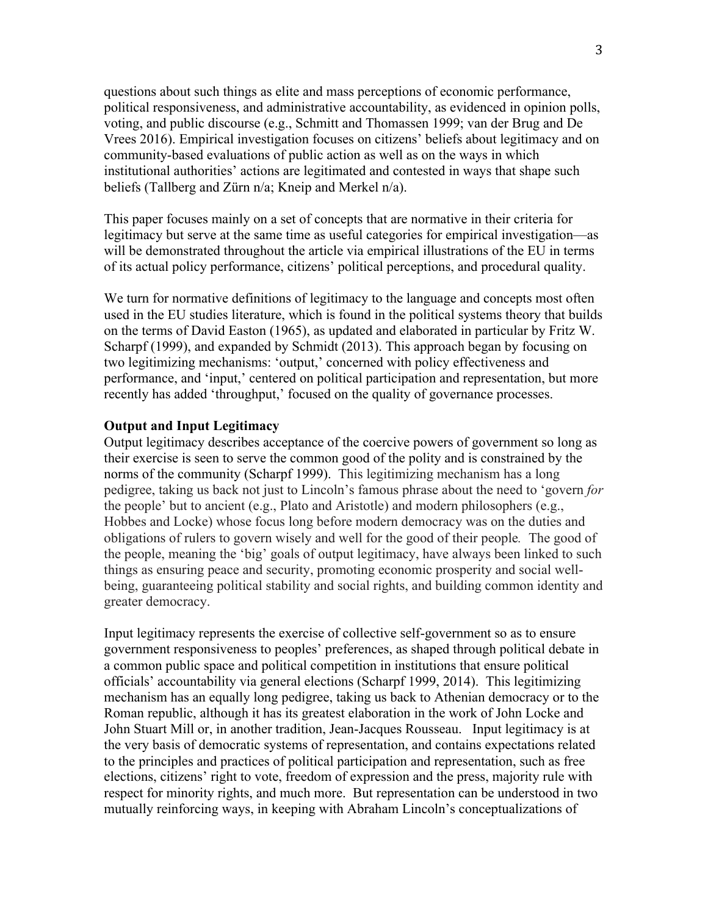questions about such things as elite and mass perceptions of economic performance, political responsiveness, and administrative accountability, as evidenced in opinion polls, voting, and public discourse (e.g., Schmitt and Thomassen 1999; van der Brug and De Vrees 2016). Empirical investigation focuses on citizens' beliefs about legitimacy and on community-based evaluations of public action as well as on the ways in which institutional authorities' actions are legitimated and contested in ways that shape such beliefs (Tallberg and Zürn n/a; Kneip and Merkel n/a).

This paper focuses mainly on a set of concepts that are normative in their criteria for legitimacy but serve at the same time as useful categories for empirical investigation—as will be demonstrated throughout the article via empirical illustrations of the EU in terms of its actual policy performance, citizens' political perceptions, and procedural quality.

We turn for normative definitions of legitimacy to the language and concepts most often used in the EU studies literature, which is found in the political systems theory that builds on the terms of David Easton (1965), as updated and elaborated in particular by Fritz W. Scharpf (1999), and expanded by Schmidt (2013). This approach began by focusing on two legitimizing mechanisms: 'output,' concerned with policy effectiveness and performance, and 'input,' centered on political participation and representation, but more recently has added 'throughput,' focused on the quality of governance processes.

#### **Output and Input Legitimacy**

Output legitimacy describes acceptance of the coercive powers of government so long as their exercise is seen to serve the common good of the polity and is constrained by the norms of the community (Scharpf 1999). This legitimizing mechanism has a long pedigree, taking us back not just to Lincoln's famous phrase about the need to 'govern *for* the people' but to ancient (e.g., Plato and Aristotle) and modern philosophers (e.g., Hobbes and Locke) whose focus long before modern democracy was on the duties and obligations of rulers to govern wisely and well for the good of their people*.* The good of the people, meaning the 'big' goals of output legitimacy, have always been linked to such things as ensuring peace and security, promoting economic prosperity and social wellbeing, guaranteeing political stability and social rights, and building common identity and greater democracy.

Input legitimacy represents the exercise of collective self-government so as to ensure government responsiveness to peoples' preferences, as shaped through political debate in a common public space and political competition in institutions that ensure political officials' accountability via general elections (Scharpf 1999, 2014). This legitimizing mechanism has an equally long pedigree, taking us back to Athenian democracy or to the Roman republic, although it has its greatest elaboration in the work of John Locke and John Stuart Mill or, in another tradition, Jean-Jacques Rousseau. Input legitimacy is at the very basis of democratic systems of representation, and contains expectations related to the principles and practices of political participation and representation, such as free elections, citizens' right to vote, freedom of expression and the press, majority rule with respect for minority rights, and much more. But representation can be understood in two mutually reinforcing ways, in keeping with Abraham Lincoln's conceptualizations of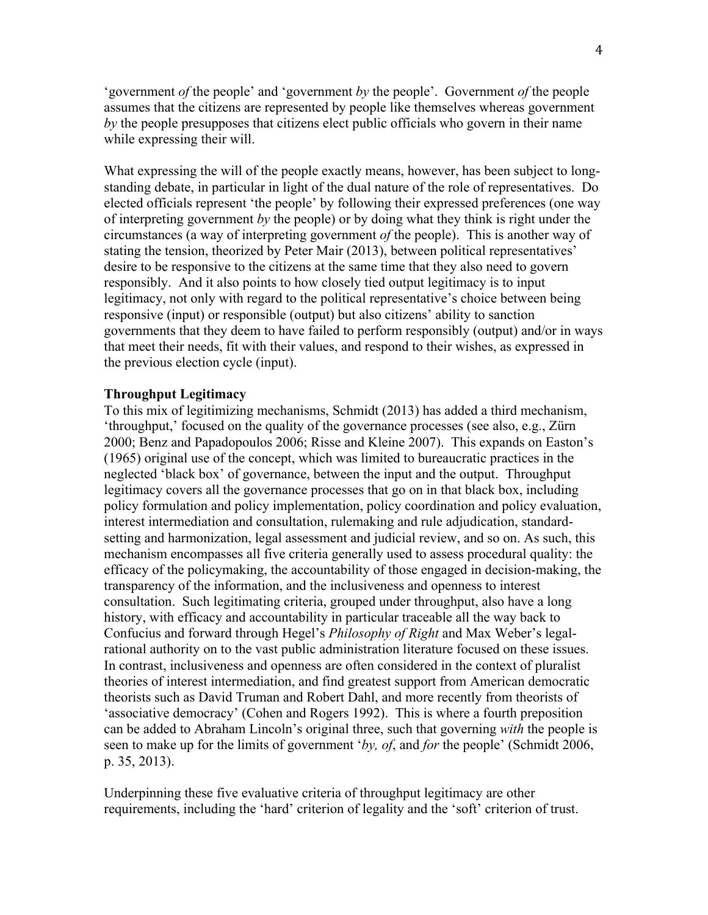'government *of* the people' and 'government *by* the people'. Government *of* the people assumes that the citizens are represented by people like themselves whereas government *by* the people presupposes that citizens elect public officials who govern in their name while expressing their will.

What expressing the will of the people exactly means, however, has been subject to longstanding debate, in particular in light of the dual nature of the role of representatives. Do elected officials represent 'the people' by following their expressed preferences (one way of interpreting government *by* the people) or by doing what they think is right under the circumstances (a way of interpreting government *of* the people). This is another way of stating the tension, theorized by Peter Mair (2013), between political representatives' desire to be responsive to the citizens at the same time that they also need to govern responsibly. And it also points to how closely tied output legitimacy is to input legitimacy, not only with regard to the political representative's choice between being responsive (input) or responsible (output) but also citizens' ability to sanction governments that they deem to have failed to perform responsibly (output) and/or in ways that meet their needs, fit with their values, and respond to their wishes, as expressed in the previous election cycle (input).

#### **Throughput Legitimacy**

To this mix of legitimizing mechanisms, Schmidt (2013) has added a third mechanism, 'throughput,' focused on the quality of the governance processes (see also, e.g., Zürn 2000; Benz and Papadopoulos 2006; Risse and Kleine 2007). This expands on Easton's (1965) original use of the concept, which was limited to bureaucratic practices in the neglected 'black box' of governance, between the input and the output. Throughput legitimacy covers all the governance processes that go on in that black box, including policy formulation and policy implementation, policy coordination and policy evaluation, interest intermediation and consultation, rulemaking and rule adjudication, standardsetting and harmonization, legal assessment and judicial review, and so on. As such, this mechanism encompasses all five criteria generally used to assess procedural quality: the efficacy of the policymaking, the accountability of those engaged in decision-making, the transparency of the information, and the inclusiveness and openness to interest consultation. Such legitimating criteria, grouped under throughput, also have a long history, with efficacy and accountability in particular traceable all the way back to Confucius and forward through Hegel's *Philosophy of Right* and Max Weber's legalrational authority on to the vast public administration literature focused on these issues. In contrast, inclusiveness and openness are often considered in the context of pluralist theories of interest intermediation, and find greatest support from American democratic theorists such as David Truman and Robert Dahl, and more recently from theorists of 'associative democracy' (Cohen and Rogers 1992). This is where a fourth preposition can be added to Abraham Lincoln's original three, such that governing *with* the people is seen to make up for the limits of government '*by, of*, and *for* the people' (Schmidt 2006, p. 35, 2013).

Underpinning these five evaluative criteria of throughput legitimacy are other requirements, including the 'hard' criterion of legality and the 'soft' criterion of trust.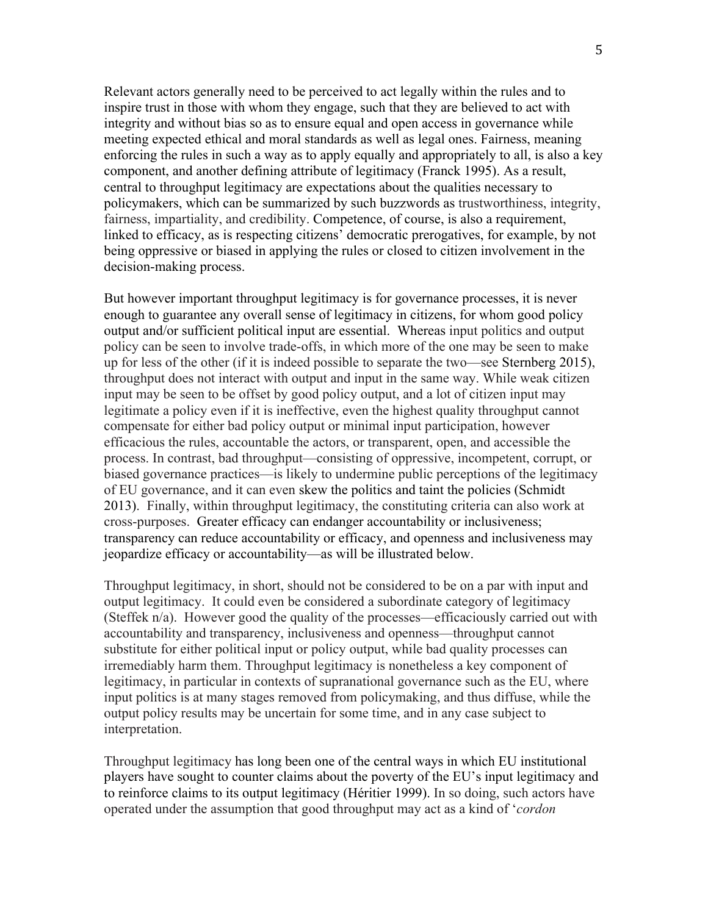Relevant actors generally need to be perceived to act legally within the rules and to inspire trust in those with whom they engage, such that they are believed to act with integrity and without bias so as to ensure equal and open access in governance while meeting expected ethical and moral standards as well as legal ones. Fairness, meaning enforcing the rules in such a way as to apply equally and appropriately to all, is also a key component, and another defining attribute of legitimacy (Franck 1995). As a result, central to throughput legitimacy are expectations about the qualities necessary to policymakers, which can be summarized by such buzzwords as trustworthiness, integrity, fairness, impartiality, and credibility. Competence, of course, is also a requirement, linked to efficacy, as is respecting citizens' democratic prerogatives, for example, by not being oppressive or biased in applying the rules or closed to citizen involvement in the decision-making process.

But however important throughput legitimacy is for governance processes, it is never enough to guarantee any overall sense of legitimacy in citizens, for whom good policy output and/or sufficient political input are essential. Whereas input politics and output policy can be seen to involve trade-offs, in which more of the one may be seen to make up for less of the other (if it is indeed possible to separate the two—see Sternberg 2015), throughput does not interact with output and input in the same way. While weak citizen input may be seen to be offset by good policy output, and a lot of citizen input may legitimate a policy even if it is ineffective, even the highest quality throughput cannot compensate for either bad policy output or minimal input participation, however efficacious the rules, accountable the actors, or transparent, open, and accessible the process. In contrast, bad throughput—consisting of oppressive, incompetent, corrupt, or biased governance practices—is likely to undermine public perceptions of the legitimacy of EU governance, and it can even skew the politics and taint the policies (Schmidt 2013). Finally, within throughput legitimacy, the constituting criteria can also work at cross-purposes. Greater efficacy can endanger accountability or inclusiveness; transparency can reduce accountability or efficacy, and openness and inclusiveness may jeopardize efficacy or accountability—as will be illustrated below.

Throughput legitimacy, in short, should not be considered to be on a par with input and output legitimacy. It could even be considered a subordinate category of legitimacy (Steffek n/a). However good the quality of the processes—efficaciously carried out with accountability and transparency, inclusiveness and openness—throughput cannot substitute for either political input or policy output, while bad quality processes can irremediably harm them. Throughput legitimacy is nonetheless a key component of legitimacy, in particular in contexts of supranational governance such as the EU, where input politics is at many stages removed from policymaking, and thus diffuse, while the output policy results may be uncertain for some time, and in any case subject to interpretation.

Throughput legitimacy has long been one of the central ways in which EU institutional players have sought to counter claims about the poverty of the EU's input legitimacy and to reinforce claims to its output legitimacy (Héritier 1999). In so doing, such actors have operated under the assumption that good throughput may act as a kind of '*cordon*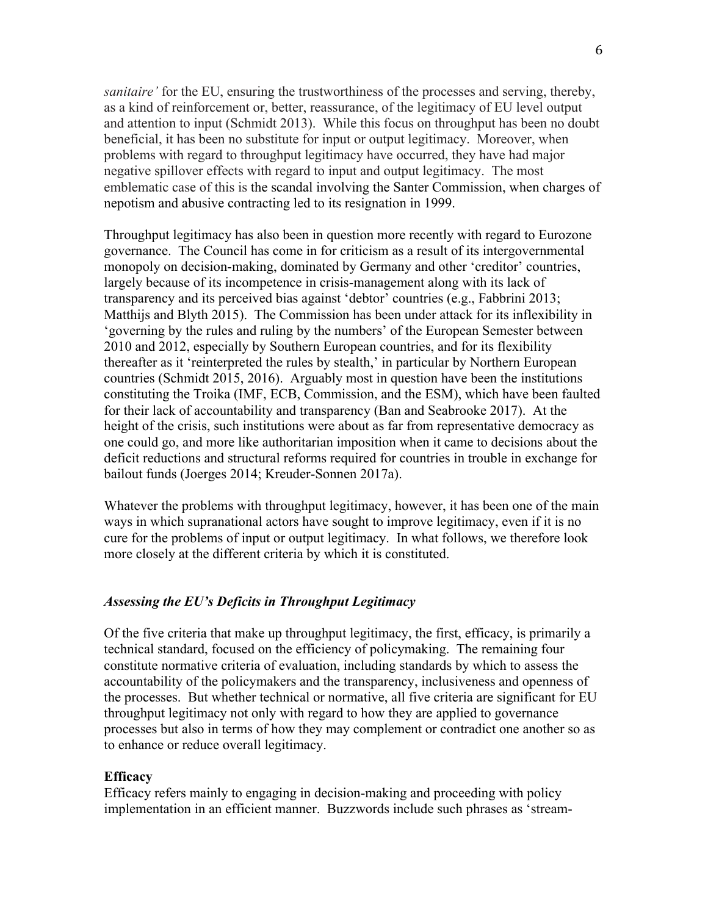*sanitaire'* for the EU, ensuring the trustworthiness of the processes and serving, thereby, as a kind of reinforcement or, better, reassurance, of the legitimacy of EU level output and attention to input (Schmidt 2013). While this focus on throughput has been no doubt beneficial, it has been no substitute for input or output legitimacy. Moreover, when problems with regard to throughput legitimacy have occurred, they have had major negative spillover effects with regard to input and output legitimacy. The most emblematic case of this is the scandal involving the Santer Commission, when charges of nepotism and abusive contracting led to its resignation in 1999.

Throughput legitimacy has also been in question more recently with regard to Eurozone governance. The Council has come in for criticism as a result of its intergovernmental monopoly on decision-making, dominated by Germany and other 'creditor' countries, largely because of its incompetence in crisis-management along with its lack of transparency and its perceived bias against 'debtor' countries (e.g., Fabbrini 2013; Matthijs and Blyth 2015). The Commission has been under attack for its inflexibility in 'governing by the rules and ruling by the numbers' of the European Semester between 2010 and 2012, especially by Southern European countries, and for its flexibility thereafter as it 'reinterpreted the rules by stealth,' in particular by Northern European countries (Schmidt 2015, 2016). Arguably most in question have been the institutions constituting the Troika (IMF, ECB, Commission, and the ESM), which have been faulted for their lack of accountability and transparency (Ban and Seabrooke 2017). At the height of the crisis, such institutions were about as far from representative democracy as one could go, and more like authoritarian imposition when it came to decisions about the deficit reductions and structural reforms required for countries in trouble in exchange for bailout funds (Joerges 2014; Kreuder-Sonnen 2017a).

Whatever the problems with throughput legitimacy, however, it has been one of the main ways in which supranational actors have sought to improve legitimacy, even if it is no cure for the problems of input or output legitimacy. In what follows, we therefore look more closely at the different criteria by which it is constituted.

#### *Assessing the EU's Deficits in Throughput Legitimacy*

Of the five criteria that make up throughput legitimacy, the first, efficacy, is primarily a technical standard, focused on the efficiency of policymaking. The remaining four constitute normative criteria of evaluation, including standards by which to assess the accountability of the policymakers and the transparency, inclusiveness and openness of the processes. But whether technical or normative, all five criteria are significant for EU throughput legitimacy not only with regard to how they are applied to governance processes but also in terms of how they may complement or contradict one another so as to enhance or reduce overall legitimacy.

#### **Efficacy**

Efficacy refers mainly to engaging in decision-making and proceeding with policy implementation in an efficient manner. Buzzwords include such phrases as 'stream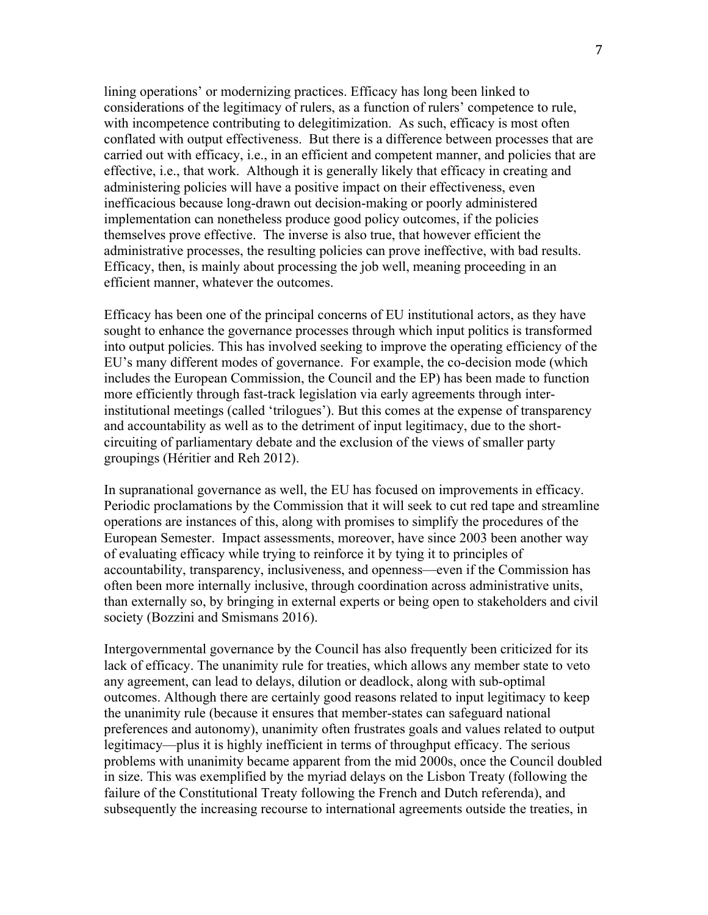lining operations' or modernizing practices. Efficacy has long been linked to considerations of the legitimacy of rulers, as a function of rulers' competence to rule, with incompetence contributing to delegitimization. As such, efficacy is most often conflated with output effectiveness. But there is a difference between processes that are carried out with efficacy, i.e., in an efficient and competent manner, and policies that are effective, i.e., that work. Although it is generally likely that efficacy in creating and administering policies will have a positive impact on their effectiveness, even inefficacious because long-drawn out decision-making or poorly administered implementation can nonetheless produce good policy outcomes, if the policies themselves prove effective. The inverse is also true, that however efficient the administrative processes, the resulting policies can prove ineffective, with bad results. Efficacy, then, is mainly about processing the job well, meaning proceeding in an efficient manner, whatever the outcomes.

Efficacy has been one of the principal concerns of EU institutional actors, as they have sought to enhance the governance processes through which input politics is transformed into output policies. This has involved seeking to improve the operating efficiency of the EU's many different modes of governance. For example, the co-decision mode (which includes the European Commission, the Council and the EP) has been made to function more efficiently through fast-track legislation via early agreements through interinstitutional meetings (called 'trilogues'). But this comes at the expense of transparency and accountability as well as to the detriment of input legitimacy, due to the shortcircuiting of parliamentary debate and the exclusion of the views of smaller party groupings (Héritier and Reh 2012).

In supranational governance as well, the EU has focused on improvements in efficacy. Periodic proclamations by the Commission that it will seek to cut red tape and streamline operations are instances of this, along with promises to simplify the procedures of the European Semester. Impact assessments, moreover, have since 2003 been another way of evaluating efficacy while trying to reinforce it by tying it to principles of accountability, transparency, inclusiveness, and openness—even if the Commission has often been more internally inclusive, through coordination across administrative units, than externally so, by bringing in external experts or being open to stakeholders and civil society (Bozzini and Smismans 2016).

Intergovernmental governance by the Council has also frequently been criticized for its lack of efficacy. The unanimity rule for treaties, which allows any member state to veto any agreement, can lead to delays, dilution or deadlock, along with sub-optimal outcomes. Although there are certainly good reasons related to input legitimacy to keep the unanimity rule (because it ensures that member-states can safeguard national preferences and autonomy), unanimity often frustrates goals and values related to output legitimacy—plus it is highly inefficient in terms of throughput efficacy. The serious problems with unanimity became apparent from the mid 2000s, once the Council doubled in size. This was exemplified by the myriad delays on the Lisbon Treaty (following the failure of the Constitutional Treaty following the French and Dutch referenda), and subsequently the increasing recourse to international agreements outside the treaties, in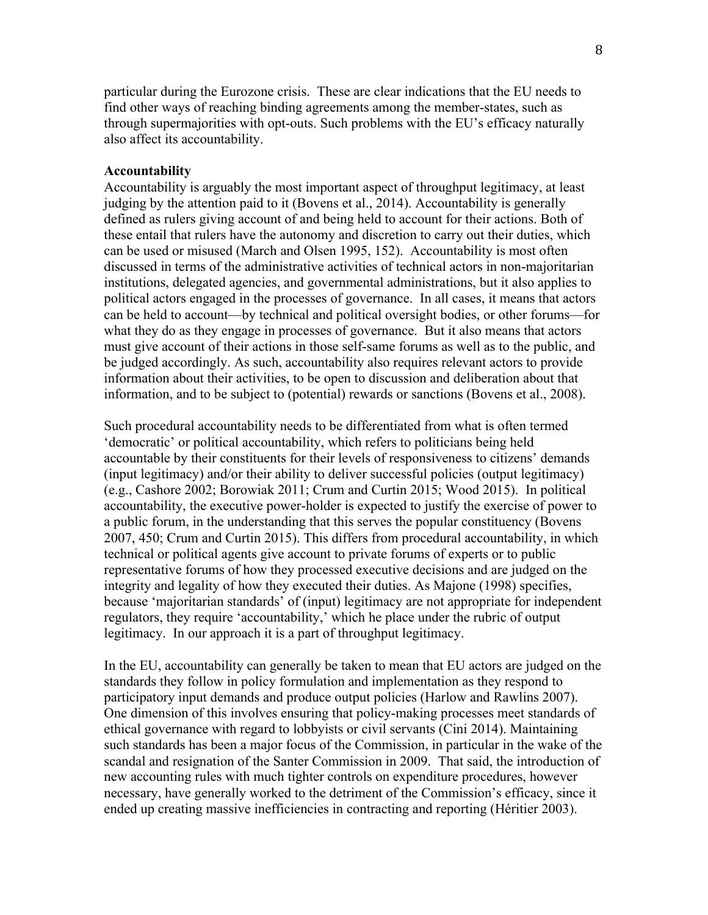particular during the Eurozone crisis. These are clear indications that the EU needs to find other ways of reaching binding agreements among the member-states, such as through supermajorities with opt-outs. Such problems with the EU's efficacy naturally also affect its accountability.

#### **Accountability**

Accountability is arguably the most important aspect of throughput legitimacy, at least judging by the attention paid to it (Bovens et al., 2014). Accountability is generally defined as rulers giving account of and being held to account for their actions. Both of these entail that rulers have the autonomy and discretion to carry out their duties, which can be used or misused (March and Olsen 1995, 152). Accountability is most often discussed in terms of the administrative activities of technical actors in non-majoritarian institutions, delegated agencies, and governmental administrations, but it also applies to political actors engaged in the processes of governance. In all cases, it means that actors can be held to account—by technical and political oversight bodies, or other forums—for what they do as they engage in processes of governance. But it also means that actors must give account of their actions in those self-same forums as well as to the public, and be judged accordingly. As such, accountability also requires relevant actors to provide information about their activities, to be open to discussion and deliberation about that information, and to be subject to (potential) rewards or sanctions (Bovens et al., 2008).

Such procedural accountability needs to be differentiated from what is often termed 'democratic' or political accountability, which refers to politicians being held accountable by their constituents for their levels of responsiveness to citizens' demands (input legitimacy) and/or their ability to deliver successful policies (output legitimacy) (e.g., Cashore 2002; Borowiak 2011; Crum and Curtin 2015; Wood 2015). In political accountability, the executive power-holder is expected to justify the exercise of power to a public forum, in the understanding that this serves the popular constituency (Bovens 2007, 450; Crum and Curtin 2015). This differs from procedural accountability, in which technical or political agents give account to private forums of experts or to public representative forums of how they processed executive decisions and are judged on the integrity and legality of how they executed their duties. As Majone (1998) specifies, because 'majoritarian standards' of (input) legitimacy are not appropriate for independent regulators, they require 'accountability,' which he place under the rubric of output legitimacy. In our approach it is a part of throughput legitimacy.

In the EU, accountability can generally be taken to mean that EU actors are judged on the standards they follow in policy formulation and implementation as they respond to participatory input demands and produce output policies (Harlow and Rawlins 2007). One dimension of this involves ensuring that policy-making processes meet standards of ethical governance with regard to lobbyists or civil servants (Cini 2014). Maintaining such standards has been a major focus of the Commission, in particular in the wake of the scandal and resignation of the Santer Commission in 2009. That said, the introduction of new accounting rules with much tighter controls on expenditure procedures, however necessary, have generally worked to the detriment of the Commission's efficacy, since it ended up creating massive inefficiencies in contracting and reporting (Héritier 2003).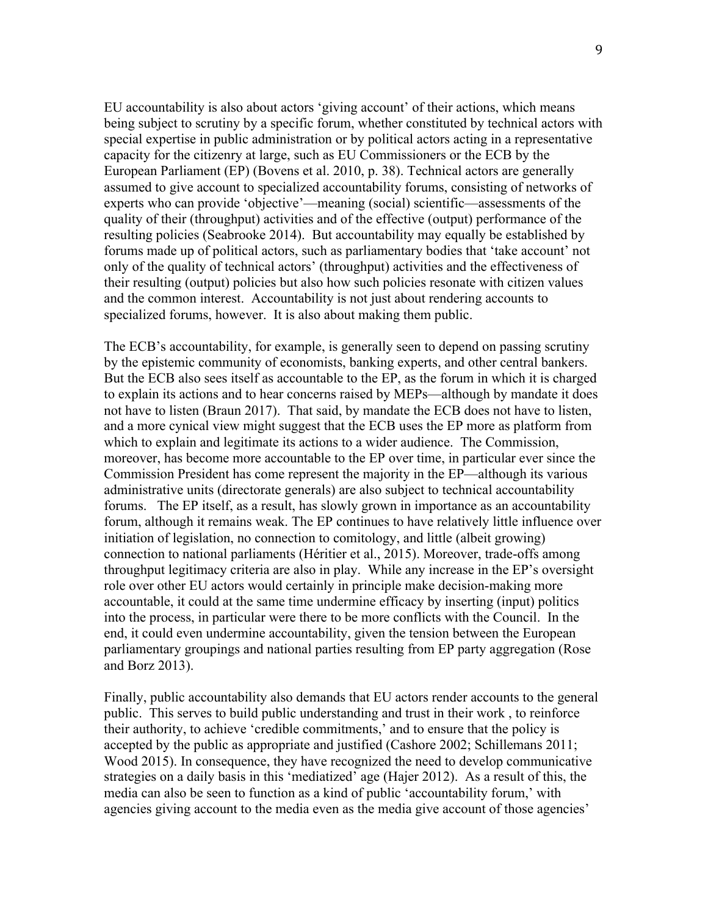EU accountability is also about actors 'giving account' of their actions, which means being subject to scrutiny by a specific forum, whether constituted by technical actors with special expertise in public administration or by political actors acting in a representative capacity for the citizenry at large, such as EU Commissioners or the ECB by the European Parliament (EP) (Bovens et al. 2010, p. 38). Technical actors are generally assumed to give account to specialized accountability forums, consisting of networks of experts who can provide 'objective'—meaning (social) scientific—assessments of the quality of their (throughput) activities and of the effective (output) performance of the resulting policies (Seabrooke 2014). But accountability may equally be established by forums made up of political actors, such as parliamentary bodies that 'take account' not only of the quality of technical actors' (throughput) activities and the effectiveness of their resulting (output) policies but also how such policies resonate with citizen values and the common interest. Accountability is not just about rendering accounts to specialized forums, however. It is also about making them public.

The ECB's accountability, for example, is generally seen to depend on passing scrutiny by the epistemic community of economists, banking experts, and other central bankers. But the ECB also sees itself as accountable to the EP, as the forum in which it is charged to explain its actions and to hear concerns raised by MEPs—although by mandate it does not have to listen (Braun 2017). That said, by mandate the ECB does not have to listen, and a more cynical view might suggest that the ECB uses the EP more as platform from which to explain and legitimate its actions to a wider audience. The Commission, moreover, has become more accountable to the EP over time, in particular ever since the Commission President has come represent the majority in the EP—although its various administrative units (directorate generals) are also subject to technical accountability forums. The EP itself, as a result, has slowly grown in importance as an accountability forum, although it remains weak. The EP continues to have relatively little influence over initiation of legislation, no connection to comitology, and little (albeit growing) connection to national parliaments (Héritier et al., 2015). Moreover, trade-offs among throughput legitimacy criteria are also in play. While any increase in the EP's oversight role over other EU actors would certainly in principle make decision-making more accountable, it could at the same time undermine efficacy by inserting (input) politics into the process, in particular were there to be more conflicts with the Council. In the end, it could even undermine accountability, given the tension between the European parliamentary groupings and national parties resulting from EP party aggregation (Rose and Borz 2013).

Finally, public accountability also demands that EU actors render accounts to the general public. This serves to build public understanding and trust in their work , to reinforce their authority, to achieve 'credible commitments,' and to ensure that the policy is accepted by the public as appropriate and justified (Cashore 2002; Schillemans 2011; Wood 2015). In consequence, they have recognized the need to develop communicative strategies on a daily basis in this 'mediatized' age (Hajer 2012). As a result of this, the media can also be seen to function as a kind of public 'accountability forum,' with agencies giving account to the media even as the media give account of those agencies'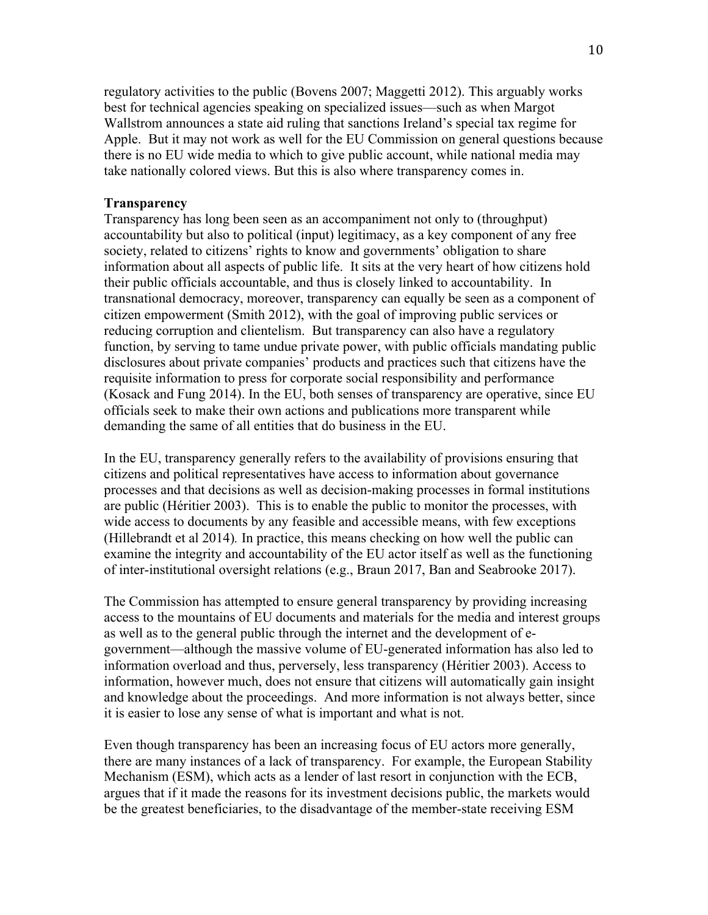regulatory activities to the public (Bovens 2007; Maggetti 2012). This arguably works best for technical agencies speaking on specialized issues—such as when Margot Wallstrom announces a state aid ruling that sanctions Ireland's special tax regime for Apple. But it may not work as well for the EU Commission on general questions because there is no EU wide media to which to give public account, while national media may take nationally colored views. But this is also where transparency comes in.

### **Transparency**

Transparency has long been seen as an accompaniment not only to (throughput) accountability but also to political (input) legitimacy, as a key component of any free society, related to citizens' rights to know and governments' obligation to share information about all aspects of public life. It sits at the very heart of how citizens hold their public officials accountable, and thus is closely linked to accountability. In transnational democracy, moreover, transparency can equally be seen as a component of citizen empowerment (Smith 2012), with the goal of improving public services or reducing corruption and clientelism. But transparency can also have a regulatory function, by serving to tame undue private power, with public officials mandating public disclosures about private companies' products and practices such that citizens have the requisite information to press for corporate social responsibility and performance (Kosack and Fung 2014). In the EU, both senses of transparency are operative, since EU officials seek to make their own actions and publications more transparent while demanding the same of all entities that do business in the EU.

In the EU, transparency generally refers to the availability of provisions ensuring that citizens and political representatives have access to information about governance processes and that decisions as well as decision-making processes in formal institutions are public (Héritier 2003). This is to enable the public to monitor the processes, with wide access to documents by any feasible and accessible means, with few exceptions (Hillebrandt et al 2014)*.* In practice, this means checking on how well the public can examine the integrity and accountability of the EU actor itself as well as the functioning of inter-institutional oversight relations (e.g., Braun 2017, Ban and Seabrooke 2017).

The Commission has attempted to ensure general transparency by providing increasing access to the mountains of EU documents and materials for the media and interest groups as well as to the general public through the internet and the development of egovernment—although the massive volume of EU-generated information has also led to information overload and thus, perversely, less transparency (Héritier 2003). Access to information, however much, does not ensure that citizens will automatically gain insight and knowledge about the proceedings. And more information is not always better, since it is easier to lose any sense of what is important and what is not.

Even though transparency has been an increasing focus of EU actors more generally, there are many instances of a lack of transparency. For example, the European Stability Mechanism (ESM), which acts as a lender of last resort in conjunction with the ECB, argues that if it made the reasons for its investment decisions public, the markets would be the greatest beneficiaries, to the disadvantage of the member-state receiving ESM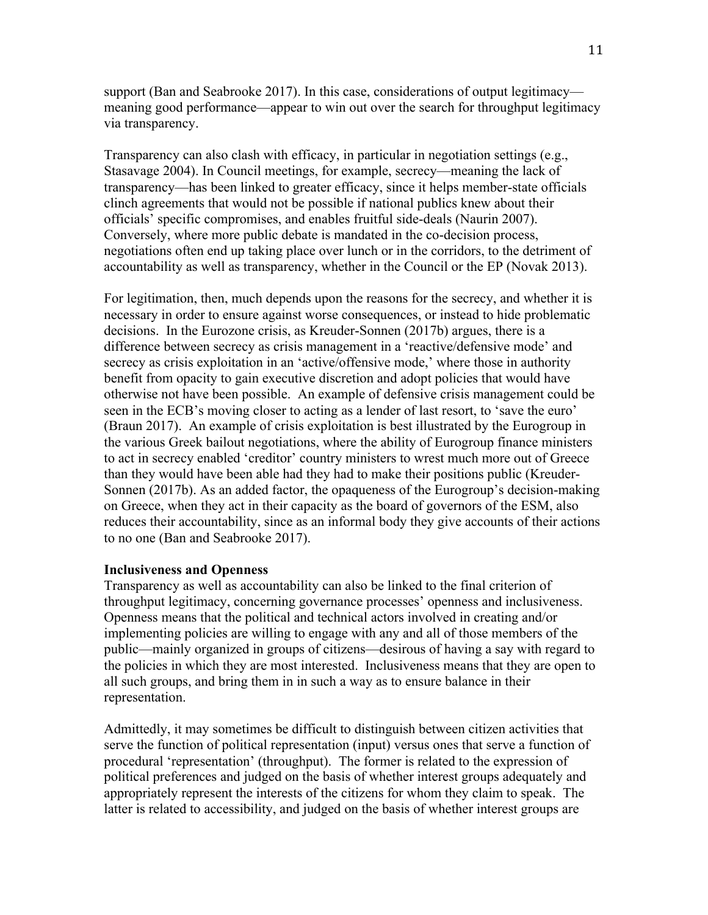support (Ban and Seabrooke 2017). In this case, considerations of output legitimacy meaning good performance—appear to win out over the search for throughput legitimacy via transparency.

Transparency can also clash with efficacy, in particular in negotiation settings (e.g., Stasavage 2004). In Council meetings, for example, secrecy—meaning the lack of transparency—has been linked to greater efficacy, since it helps member-state officials clinch agreements that would not be possible if national publics knew about their officials' specific compromises, and enables fruitful side-deals (Naurin 2007). Conversely, where more public debate is mandated in the co-decision process, negotiations often end up taking place over lunch or in the corridors, to the detriment of accountability as well as transparency, whether in the Council or the EP (Novak 2013).

For legitimation, then, much depends upon the reasons for the secrecy, and whether it is necessary in order to ensure against worse consequences, or instead to hide problematic decisions. In the Eurozone crisis, as Kreuder-Sonnen (2017b) argues, there is a difference between secrecy as crisis management in a 'reactive/defensive mode' and secrecy as crisis exploitation in an 'active/offensive mode,' where those in authority benefit from opacity to gain executive discretion and adopt policies that would have otherwise not have been possible. An example of defensive crisis management could be seen in the ECB's moving closer to acting as a lender of last resort, to 'save the euro' (Braun 2017). An example of crisis exploitation is best illustrated by the Eurogroup in the various Greek bailout negotiations, where the ability of Eurogroup finance ministers to act in secrecy enabled 'creditor' country ministers to wrest much more out of Greece than they would have been able had they had to make their positions public (Kreuder-Sonnen (2017b). As an added factor, the opaqueness of the Eurogroup's decision-making on Greece, when they act in their capacity as the board of governors of the ESM, also reduces their accountability, since as an informal body they give accounts of their actions to no one (Ban and Seabrooke 2017).

#### **Inclusiveness and Openness**

Transparency as well as accountability can also be linked to the final criterion of throughput legitimacy, concerning governance processes' openness and inclusiveness. Openness means that the political and technical actors involved in creating and/or implementing policies are willing to engage with any and all of those members of the public—mainly organized in groups of citizens—desirous of having a say with regard to the policies in which they are most interested. Inclusiveness means that they are open to all such groups, and bring them in in such a way as to ensure balance in their representation.

Admittedly, it may sometimes be difficult to distinguish between citizen activities that serve the function of political representation (input) versus ones that serve a function of procedural 'representation' (throughput). The former is related to the expression of political preferences and judged on the basis of whether interest groups adequately and appropriately represent the interests of the citizens for whom they claim to speak. The latter is related to accessibility, and judged on the basis of whether interest groups are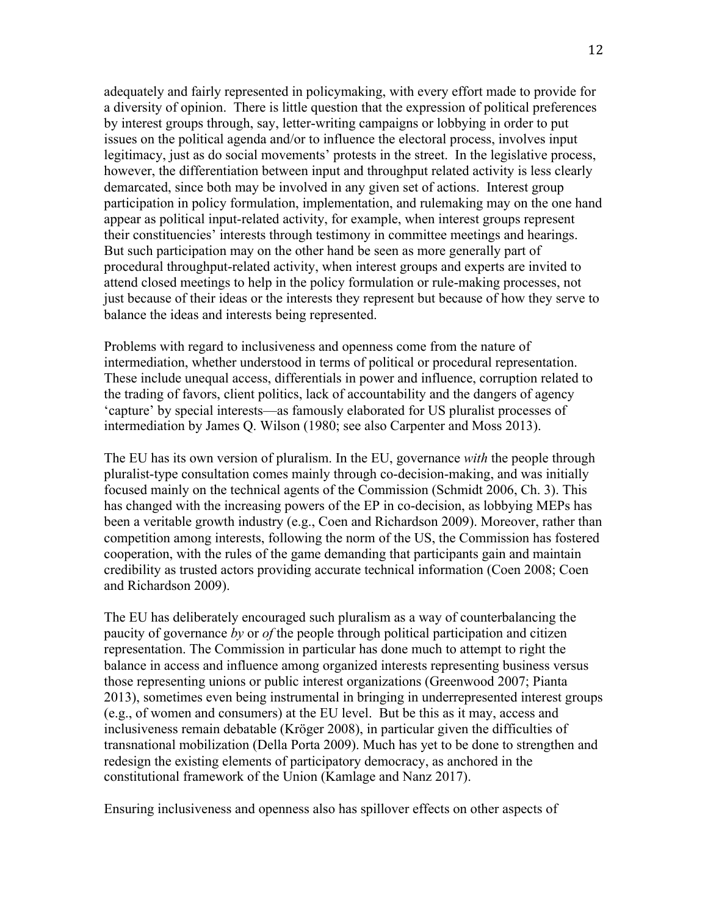adequately and fairly represented in policymaking, with every effort made to provide for a diversity of opinion. There is little question that the expression of political preferences by interest groups through, say, letter-writing campaigns or lobbying in order to put issues on the political agenda and/or to influence the electoral process, involves input legitimacy, just as do social movements' protests in the street. In the legislative process, however, the differentiation between input and throughput related activity is less clearly demarcated, since both may be involved in any given set of actions. Interest group participation in policy formulation, implementation, and rulemaking may on the one hand appear as political input-related activity, for example, when interest groups represent their constituencies' interests through testimony in committee meetings and hearings. But such participation may on the other hand be seen as more generally part of procedural throughput-related activity, when interest groups and experts are invited to attend closed meetings to help in the policy formulation or rule-making processes, not just because of their ideas or the interests they represent but because of how they serve to balance the ideas and interests being represented.

Problems with regard to inclusiveness and openness come from the nature of intermediation, whether understood in terms of political or procedural representation. These include unequal access, differentials in power and influence, corruption related to the trading of favors, client politics, lack of accountability and the dangers of agency 'capture' by special interests—as famously elaborated for US pluralist processes of intermediation by James Q. Wilson (1980; see also Carpenter and Moss 2013).

The EU has its own version of pluralism. In the EU, governance *with* the people through pluralist-type consultation comes mainly through co-decision-making, and was initially focused mainly on the technical agents of the Commission (Schmidt 2006, Ch. 3). This has changed with the increasing powers of the EP in co-decision, as lobbying MEPs has been a veritable growth industry (e.g., Coen and Richardson 2009). Moreover, rather than competition among interests, following the norm of the US, the Commission has fostered cooperation, with the rules of the game demanding that participants gain and maintain credibility as trusted actors providing accurate technical information (Coen 2008; Coen and Richardson 2009).

The EU has deliberately encouraged such pluralism as a way of counterbalancing the paucity of governance *by* or *of* the people through political participation and citizen representation. The Commission in particular has done much to attempt to right the balance in access and influence among organized interests representing business versus those representing unions or public interest organizations (Greenwood 2007; Pianta 2013), sometimes even being instrumental in bringing in underrepresented interest groups (e.g., of women and consumers) at the EU level. But be this as it may, access and inclusiveness remain debatable (Kröger 2008), in particular given the difficulties of transnational mobilization (Della Porta 2009). Much has yet to be done to strengthen and redesign the existing elements of participatory democracy, as anchored in the constitutional framework of the Union (Kamlage and Nanz 2017).

Ensuring inclusiveness and openness also has spillover effects on other aspects of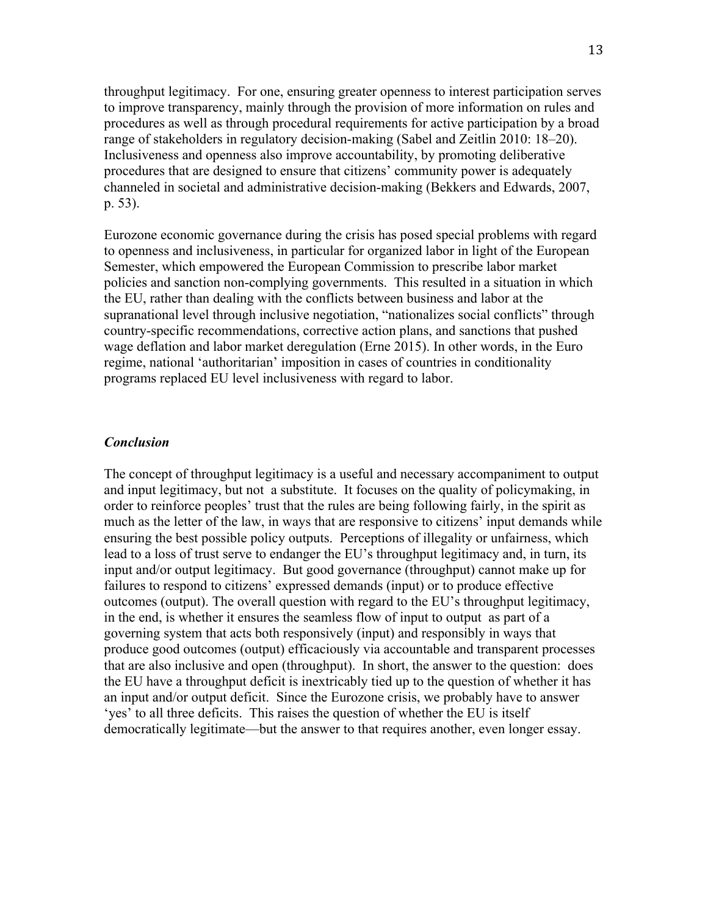throughput legitimacy. For one, ensuring greater openness to interest participation serves to improve transparency, mainly through the provision of more information on rules and procedures as well as through procedural requirements for active participation by a broad range of stakeholders in regulatory decision-making (Sabel and Zeitlin 2010: 18–20). Inclusiveness and openness also improve accountability, by promoting deliberative procedures that are designed to ensure that citizens' community power is adequately channeled in societal and administrative decision-making (Bekkers and Edwards, 2007, p. 53).

Eurozone economic governance during the crisis has posed special problems with regard to openness and inclusiveness, in particular for organized labor in light of the European Semester, which empowered the European Commission to prescribe labor market policies and sanction non-complying governments. This resulted in a situation in which the EU, rather than dealing with the conflicts between business and labor at the supranational level through inclusive negotiation, "nationalizes social conflicts" through country-specific recommendations, corrective action plans, and sanctions that pushed wage deflation and labor market deregulation (Erne 2015). In other words, in the Euro regime, national 'authoritarian' imposition in cases of countries in conditionality programs replaced EU level inclusiveness with regard to labor.

#### *Conclusion*

The concept of throughput legitimacy is a useful and necessary accompaniment to output and input legitimacy, but not a substitute. It focuses on the quality of policymaking, in order to reinforce peoples' trust that the rules are being following fairly, in the spirit as much as the letter of the law, in ways that are responsive to citizens' input demands while ensuring the best possible policy outputs. Perceptions of illegality or unfairness, which lead to a loss of trust serve to endanger the EU's throughput legitimacy and, in turn, its input and/or output legitimacy. But good governance (throughput) cannot make up for failures to respond to citizens' expressed demands (input) or to produce effective outcomes (output). The overall question with regard to the EU's throughput legitimacy, in the end, is whether it ensures the seamless flow of input to output as part of a governing system that acts both responsively (input) and responsibly in ways that produce good outcomes (output) efficaciously via accountable and transparent processes that are also inclusive and open (throughput). In short, the answer to the question: does the EU have a throughput deficit is inextricably tied up to the question of whether it has an input and/or output deficit. Since the Eurozone crisis, we probably have to answer 'yes' to all three deficits. This raises the question of whether the EU is itself democratically legitimate—but the answer to that requires another, even longer essay.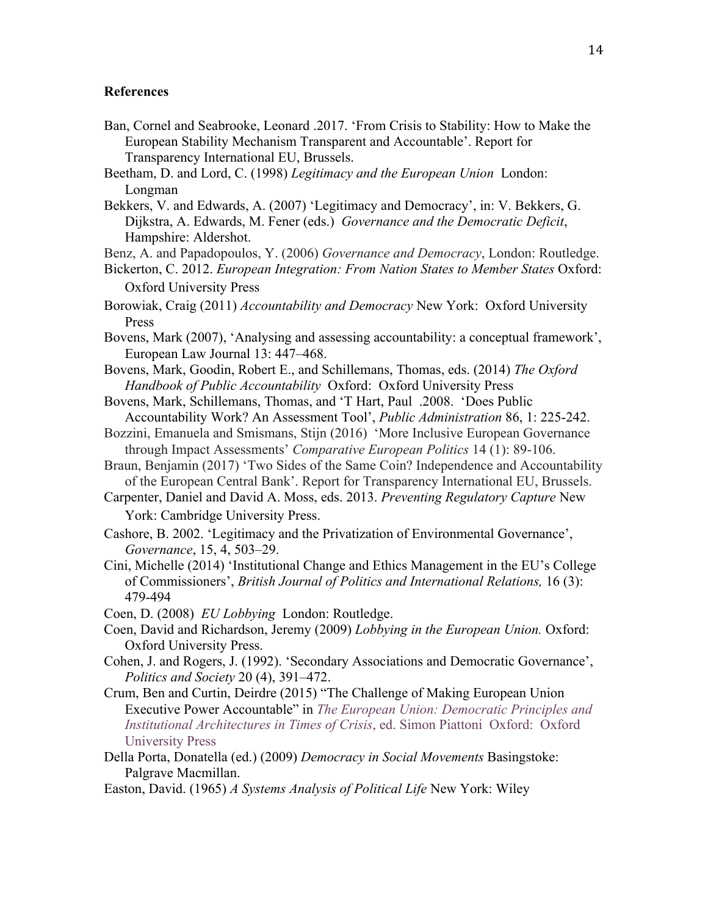#### **References**

- Ban, Cornel and Seabrooke, Leonard .2017. 'From Crisis to Stability: How to Make the European Stability Mechanism Transparent and Accountable'. Report for Transparency International EU, Brussels.
- Beetham, D. and Lord, C. (1998) *Legitimacy and the European Union* London: Longman
- Bekkers, V. and Edwards, A. (2007) 'Legitimacy and Democracy', in: V. Bekkers, G. Dijkstra, A. Edwards, M. Fener (eds.) *Governance and the Democratic Deficit*, Hampshire: Aldershot.
- Benz, A. and Papadopoulos, Y. (2006) *Governance and Democracy*, London: Routledge.
- Bickerton, C. 2012. *European Integration: From Nation States to Member States Oxford:* Oxford University Press
- Borowiak, Craig (2011) *Accountability and Democracy* New York: Oxford University Press
- Bovens, Mark (2007), 'Analysing and assessing accountability: a conceptual framework', European Law Journal 13: 447–468.
- Bovens, Mark, Goodin, Robert E., and Schillemans, Thomas, eds. (2014) *The Oxford Handbook of Public Accountability* Oxford: Oxford University Press
- Bovens, Mark, Schillemans, Thomas, and 'T Hart, Paul .2008. 'Does Public Accountability Work? An Assessment Tool', *Public Administration* 86, 1: 225-242.
- Bozzini, Emanuela and Smismans, Stijn (2016) 'More Inclusive European Governance through Impact Assessments' *Comparative European Politics* 14 (1): 89-106.
- Braun, Benjamin (2017) 'Two Sides of the Same Coin? Independence and Accountability of the European Central Bank'. Report for Transparency International EU, Brussels.
- Carpenter, Daniel and David A. Moss, eds. 2013. *Preventing Regulatory Capture* New York: Cambridge University Press.
- Cashore, B. 2002. 'Legitimacy and the Privatization of Environmental Governance', *Governance*, 15, 4, 503–29.
- Cini, Michelle (2014) 'Institutional Change and Ethics Management in the EU's College of Commissioners', *British Journal of Politics and International Relations,* 16 (3): 479-494
- Coen, D. (2008) *EU Lobbying* London: Routledge.
- Coen, David and Richardson, Jeremy (2009) *Lobbying in the European Union.* Oxford: Oxford University Press.
- Cohen, J. and Rogers, J. (1992). 'Secondary Associations and Democratic Governance', *Politics and Society* 20 (4), 391–472.
- Crum, Ben and Curtin, Deirdre (2015) "The Challenge of Making European Union Executive Power Accountable" in *The European Union: Democratic Principles and Institutional Architectures in Times of Crisis*, ed. Simon Piattoni Oxford: Oxford University Press
- Della Porta, Donatella (ed.) (2009) *Democracy in Social Movements* Basingstoke: Palgrave Macmillan.

Easton, David. (1965) *A Systems Analysis of Political Life* New York: Wiley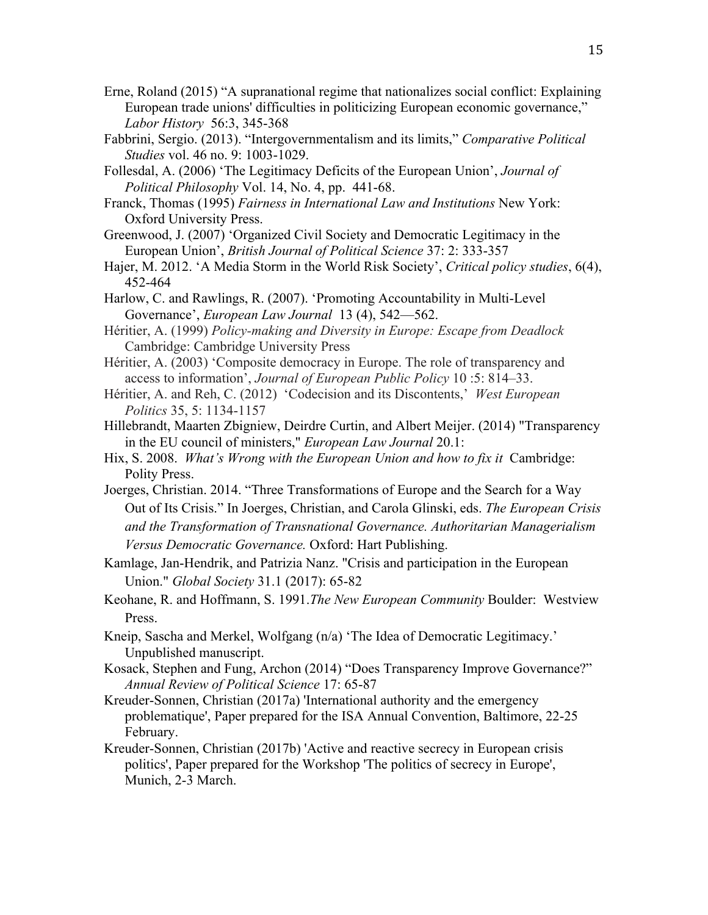- Erne, Roland (2015) "A supranational regime that nationalizes social conflict: Explaining European trade unions' difficulties in politicizing European economic governance," *Labor History* 56:3, 345-368
- Fabbrini, Sergio. (2013). "Intergovernmentalism and its limits," *Comparative Political Studies* vol. 46 no. 9: 1003-1029.
- Follesdal, A. (2006) 'The Legitimacy Deficits of the European Union', *Journal of Political Philosophy* Vol. 14, No. 4, pp. 441-68.
- Franck, Thomas (1995) *Fairness in International Law and Institutions* New York: Oxford University Press.
- Greenwood, J. (2007) 'Organized Civil Society and Democratic Legitimacy in the European Union', *British Journal of Political Science* 37: 2: 333-357
- Hajer, M. 2012. 'A Media Storm in the World Risk Society', *Critical policy studies*, 6(4), 452-464
- Harlow, C. and Rawlings, R. (2007). 'Promoting Accountability in Multi-Level Governance', *European Law Journal* 13 (4), 542—562.
- Héritier, A. (1999) *Policy-making and Diversity in Europe: Escape from Deadlock* Cambridge: Cambridge University Press
- Héritier, A. (2003) 'Composite democracy in Europe. The role of transparency and access to information', *Journal of European Public Policy* 10 :5: 814–33.
- Héritier, A. and Reh, C. (2012) 'Codecision and its Discontents,' *West European Politics* 35, 5: 1134-1157
- Hillebrandt, Maarten Zbigniew, Deirdre Curtin, and Albert Meijer. (2014) "Transparency in the EU council of ministers," *European Law Journal* 20.1:
- Hix, S. 2008. *What's Wrong with the European Union and how to fix it* Cambridge: Polity Press.
- Joerges, Christian. 2014. "Three Transformations of Europe and the Search for a Way Out of Its Crisis." In Joerges, Christian, and Carola Glinski, eds. *The European Crisis and the Transformation of Transnational Governance. Authoritarian Managerialism Versus Democratic Governance.* Oxford: Hart Publishing.
- Kamlage, Jan-Hendrik, and Patrizia Nanz. "Crisis and participation in the European Union." *Global Society* 31.1 (2017): 65-82
- Keohane, R. and Hoffmann, S. 1991.*The New European Community* Boulder: Westview Press.
- Kneip, Sascha and Merkel, Wolfgang (n/a) 'The Idea of Democratic Legitimacy.' Unpublished manuscript.
- Kosack, Stephen and Fung, Archon (2014) "Does Transparency Improve Governance?" *Annual Review of Political Science* 17: 65-87
- Kreuder-Sonnen, Christian (2017a) 'International authority and the emergency problematique', Paper prepared for the ISA Annual Convention, Baltimore, 22-25 February.
- Kreuder-Sonnen, Christian (2017b) 'Active and reactive secrecy in European crisis politics', Paper prepared for the Workshop 'The politics of secrecy in Europe', Munich, 2-3 March.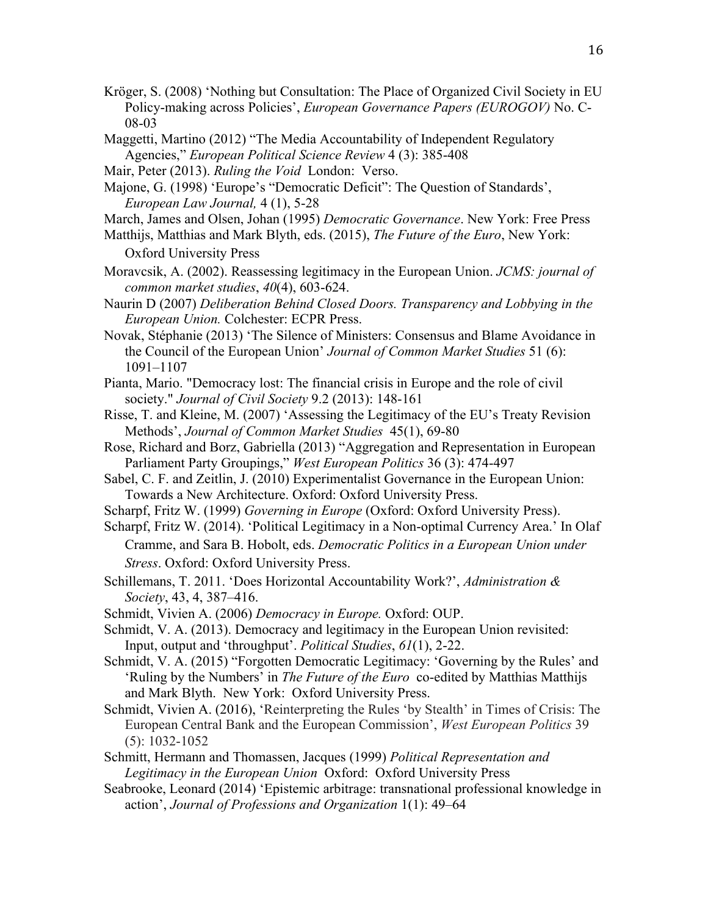- Kröger, S. (2008) 'Nothing but Consultation: The Place of Organized Civil Society in EU Policy-making across Policies', *European Governance Papers (EUROGOV)* No. C-08-03
- Maggetti, Martino (2012) "The Media Accountability of Independent Regulatory Agencies," *European Political Science Review* 4 (3): 385-408
- Mair, Peter (2013). *Ruling the Void* London: Verso.
- Majone, G. (1998) 'Europe's "Democratic Deficit": The Question of Standards', *European Law Journal,* 4 (1), 5-28
- March, James and Olsen, Johan (1995) *Democratic Governance*. New York: Free Press
- Matthijs, Matthias and Mark Blyth, eds. (2015), *The Future of the Euro*, New York:

Oxford University Press

- Moravcsik, A. (2002). Reassessing legitimacy in the European Union. *JCMS: journal of common market studies*, *40*(4), 603-624.
- Naurin D (2007) *Deliberation Behind Closed Doors. Transparency and Lobbying in the European Union.* Colchester: ECPR Press.
- Novak, Stéphanie (2013) 'The Silence of Ministers: Consensus and Blame Avoidance in the Council of the European Union' *Journal of Common Market Studies* 51 (6): 1091–1107
- Pianta, Mario. "Democracy lost: The financial crisis in Europe and the role of civil society." *Journal of Civil Society* 9.2 (2013): 148-161
- Risse, T. and Kleine, M. (2007) 'Assessing the Legitimacy of the EU's Treaty Revision Methods', *Journal of Common Market Studies* 45(1), 69-80
- Rose, Richard and Borz, Gabriella (2013) "Aggregation and Representation in European Parliament Party Groupings," *West European Politics* 36 (3): 474-497
- Sabel, C. F. and Zeitlin, J. (2010) Experimentalist Governance in the European Union: Towards a New Architecture. Oxford: Oxford University Press.
- Scharpf, Fritz W. (1999) *Governing in Europe* (Oxford: Oxford University Press).
- Scharpf, Fritz W. (2014). 'Political Legitimacy in a Non-optimal Currency Area.' In Olaf Cramme, and Sara B. Hobolt, eds. *Democratic Politics in a European Union under Stress*. Oxford: Oxford University Press.
- Schillemans, T. 2011. 'Does Horizontal Accountability Work?', *Administration & Society*, 43, 4, 387–416.
- Schmidt, Vivien A. (2006) *Democracy in Europe.* Oxford: OUP.
- Schmidt, V. A. (2013). Democracy and legitimacy in the European Union revisited: Input, output and 'throughput'. *Political Studies*, *61*(1), 2-22.
- Schmidt, V. A. (2015) "Forgotten Democratic Legitimacy: 'Governing by the Rules' and 'Ruling by the Numbers' in *The Future of the Euro* co-edited by Matthias Matthijs and Mark Blyth. New York: Oxford University Press.
- Schmidt, Vivien A. (2016), 'Reinterpreting the Rules 'by Stealth' in Times of Crisis: The European Central Bank and the European Commission', *West European Politics* 39 (5): 1032-1052
- Schmitt, Hermann and Thomassen, Jacques (1999) *Political Representation and Legitimacy in the European Union* Oxford: Oxford University Press
- Seabrooke, Leonard (2014) 'Epistemic arbitrage: transnational professional knowledge in action', *Journal of Professions and Organization* 1(1): 49–64